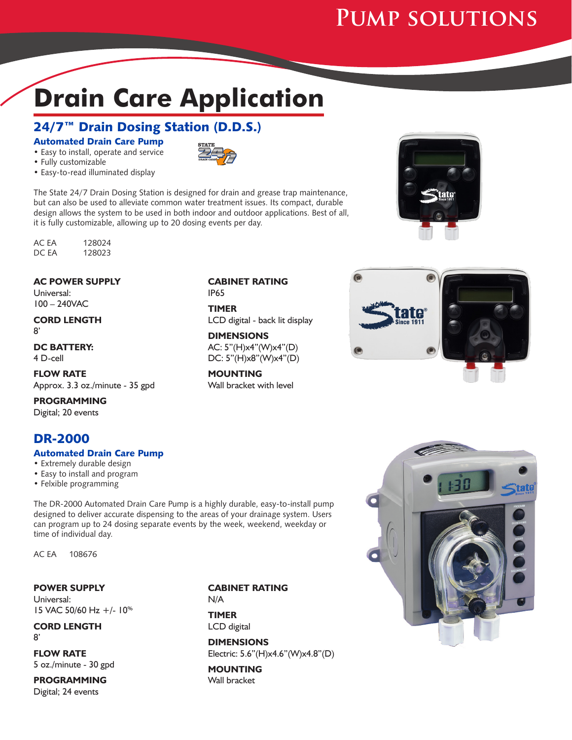# **Pump solutions**

# **Drain Care Application**

## 24/7<sup>™</sup> Drain Dosing Station (D.D.S.)

Automated Drain Care Pump • Easy to install, operate and service



• Fully customizable

• Easy-to-read illuminated display

The State 24/7 Drain Dosing Station is designed for drain and grease trap maintenance, but can also be used to alleviate common water treatment issues. Its compact, durable design allows the system to be used in both indoor and outdoor applications. Best of all, it is fully customizable, allowing up to 20 dosing events per day.

AC EA 128024<br>DC EA 128023 128023

#### **AC POWER SUPPLY**

Universal: 100 – 240VAC

#### **CORD LENGTH** 8'

**DC BATTERY:** 4 D-cell

**FLOW RATE** Approx. 3.3 oz./minute - 35 gpd

**PROGRAMMING** Digital; 20 events

## DR-2000

#### Automated Drain Care Pump

• Extremely durable design

- Easy to install and program
- Felxible programming

The DR-2000 Automated Drain Care Pump is a highly durable, easy-to-install pump designed to deliver accurate dispensing to the areas of your drainage system. Users can program up to 24 dosing separate events by the week, weekend, weekday or time of individual day.

AC EA 108676

**POWER SUPPLY** Universal: 15 VAC 50/60 Hz +/- 10%

**CORD LENGTH** 8'

**FLOW RATE** 5 oz./minute - 30 gpd

**PROGRAMMING** Digital; 24 events

#### **CABINET RATING** N/A

**TIMER** LCD digital

**DIMENSIONS** Electric: 5.6"(H)x4.6"(W)x4.8"(D)

**MOUNTING** Wall bracket







# **CABINET RATING**

IP65

**TIMER** LCD digital - back lit display

**DIMENSIONS** AC: 5"(H)x4"(W)x4"(D) DC: 5"(H)x8"(W)x4"(D)

**MOUNTING** Wall bracket with level